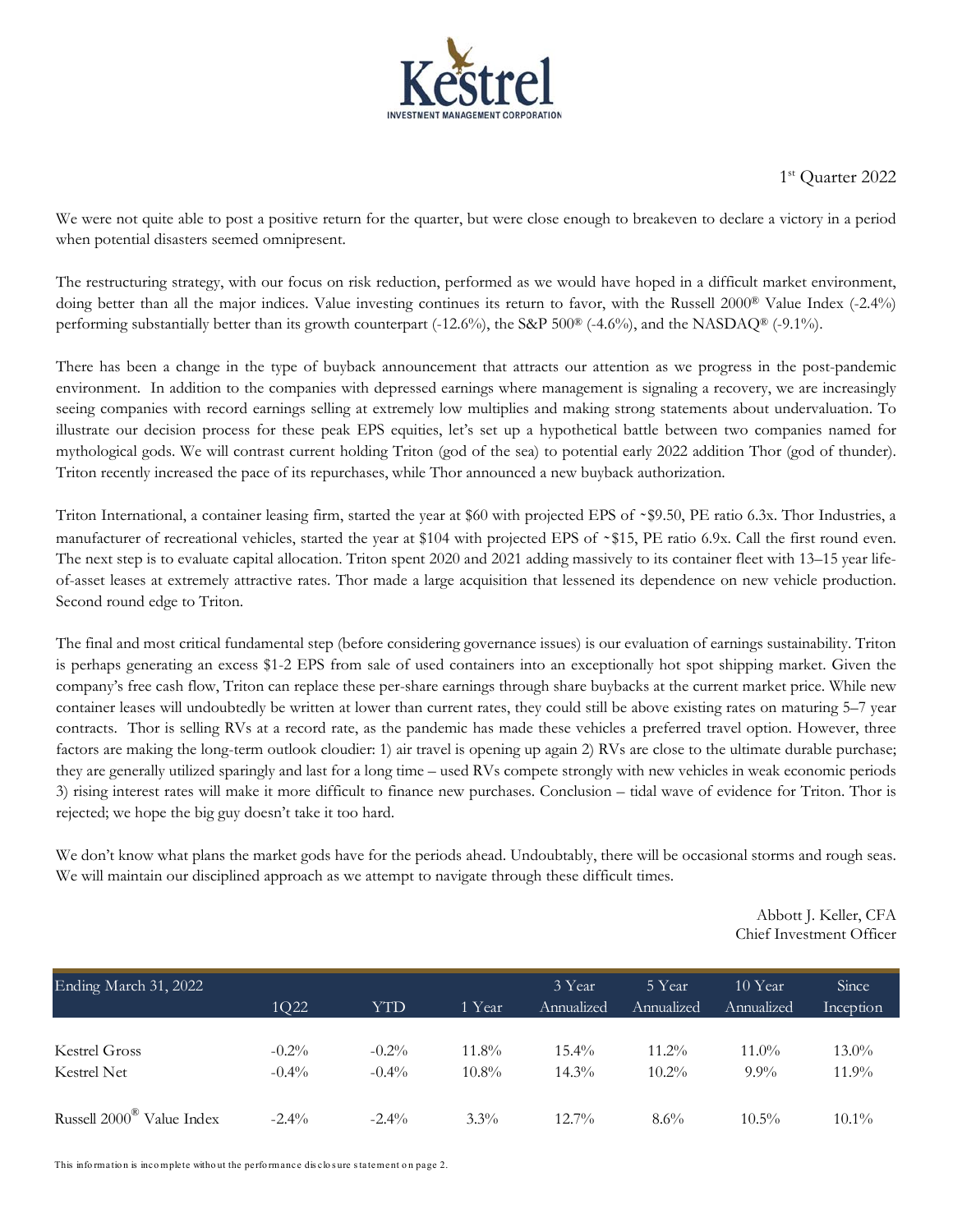

1st Quarter 2022

We were not quite able to post a positive return for the quarter, but were close enough to breakeven to declare a victory in a period when potential disasters seemed omnipresent.

The restructuring strategy, with our focus on risk reduction, performed as we would have hoped in a difficult market environment, doing better than all the major indices. Value investing continues its return to favor, with the Russell 2000<sup>®</sup> Value Index (-2.4%) performing substantially better than its growth counterpart (-12.6%), the S&P 500® (-4.6%), and the NASDAQ® (-9.1%).

There has been a change in the type of buyback announcement that attracts our attention as we progress in the post-pandemic environment. In addition to the companies with depressed earnings where management is signaling a recovery, we are increasingly seeing companies with record earnings selling at extremely low multiplies and making strong statements about undervaluation. To illustrate our decision process for these peak EPS equities, let's set up a hypothetical battle between two companies named for mythological gods. We will contrast current holding Triton (god of the sea) to potential early 2022 addition Thor (god of thunder). Triton recently increased the pace of its repurchases, while Thor announced a new buyback authorization.

Triton International, a container leasing firm, started the year at \$60 with projected EPS of ~\$9.50, PE ratio 6.3x. Thor Industries, a manufacturer of recreational vehicles, started the year at \$104 with projected EPS of ~\$15, PE ratio 6.9x. Call the first round even. The next step is to evaluate capital allocation. Triton spent 2020 and 2021 adding massively to its container fleet with 13–15 year lifeof-asset leases at extremely attractive rates. Thor made a large acquisition that lessened its dependence on new vehicle production. Second round edge to Triton.

The final and most critical fundamental step (before considering governance issues) is our evaluation of earnings sustainability. Triton is perhaps generating an excess \$1-2 EPS from sale of used containers into an exceptionally hot spot shipping market. Given the company's free cash flow, Triton can replace these per-share earnings through share buybacks at the current market price. While new container leases will undoubtedly be written at lower than current rates, they could still be above existing rates on maturing 5–7 year contracts. Thor is selling RVs at a record rate, as the pandemic has made these vehicles a preferred travel option. However, three factors are making the long-term outlook cloudier: 1) air travel is opening up again 2) RVs are close to the ultimate durable purchase; they are generally utilized sparingly and last for a long time – used RVs compete strongly with new vehicles in weak economic periods 3) rising interest rates will make it more difficult to finance new purchases. Conclusion – tidal wave of evidence for Triton. Thor is rejected; we hope the big guy doesn't take it too hard.

We don't know what plans the market gods have for the periods ahead. Undoubtably, there will be occasional storms and rough seas. We will maintain our disciplined approach as we attempt to navigate through these difficult times.

> Abbott J. Keller, CFA Chief Investment Officer

| Ending March 31, 2022                 | 1Q22     | YTD      | 1 Year   | 3 Year<br><b>Annualized</b> | 5 Year<br>Annualized | 10 Year<br>Annualized | Since<br>Inception |  |
|---------------------------------------|----------|----------|----------|-----------------------------|----------------------|-----------------------|--------------------|--|
|                                       |          |          |          |                             |                      |                       |                    |  |
| Kestrel Gross                         | $-0.2\%$ | $-0.2\%$ | $11.8\%$ | 15.4%                       | $11.2\%$             | $11.0\%$              | $13.0\%$           |  |
| Kestrel Net                           | $-0.4\%$ | $-0.4\%$ | $10.8\%$ | $14.3\%$                    | $10.2\%$             | $9.9\%$               | $11.9\%$           |  |
| Russell 2000 <sup>®</sup> Value Index | $-2.4\%$ | $-2.4\%$ | $3.3\%$  | $12.7\%$                    | 8.6%                 | $10.5\%$              | $10.1\%$           |  |

This information is incomplete without the performance disclosure statement on page 2.